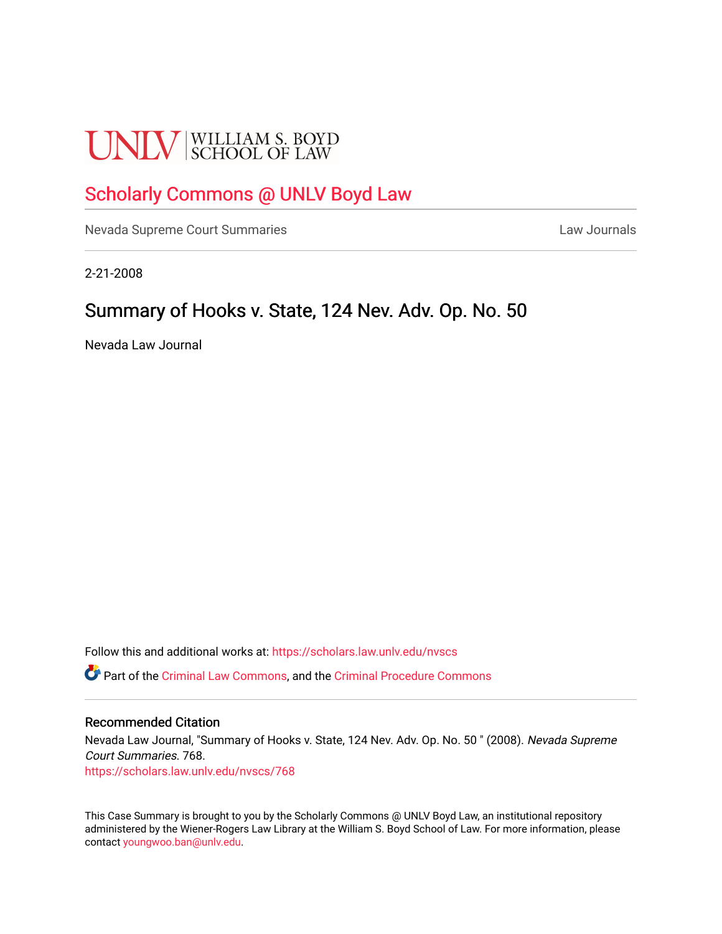# **UNLV** SCHOOL OF LAW

## [Scholarly Commons @ UNLV Boyd Law](https://scholars.law.unlv.edu/)

[Nevada Supreme Court Summaries](https://scholars.law.unlv.edu/nvscs) **Law Journals** Law Journals

2-21-2008

## Summary of Hooks v. State, 124 Nev. Adv. Op. No. 50

Nevada Law Journal

Follow this and additional works at: [https://scholars.law.unlv.edu/nvscs](https://scholars.law.unlv.edu/nvscs?utm_source=scholars.law.unlv.edu%2Fnvscs%2F768&utm_medium=PDF&utm_campaign=PDFCoverPages)

Part of the [Criminal Law Commons,](http://network.bepress.com/hgg/discipline/912?utm_source=scholars.law.unlv.edu%2Fnvscs%2F768&utm_medium=PDF&utm_campaign=PDFCoverPages) and the [Criminal Procedure Commons](http://network.bepress.com/hgg/discipline/1073?utm_source=scholars.law.unlv.edu%2Fnvscs%2F768&utm_medium=PDF&utm_campaign=PDFCoverPages)

#### Recommended Citation

Nevada Law Journal, "Summary of Hooks v. State, 124 Nev. Adv. Op. No. 50 " (2008). Nevada Supreme Court Summaries. 768. [https://scholars.law.unlv.edu/nvscs/768](https://scholars.law.unlv.edu/nvscs/768?utm_source=scholars.law.unlv.edu%2Fnvscs%2F768&utm_medium=PDF&utm_campaign=PDFCoverPages)

This Case Summary is brought to you by the Scholarly Commons @ UNLV Boyd Law, an institutional repository administered by the Wiener-Rogers Law Library at the William S. Boyd School of Law. For more information, please contact [youngwoo.ban@unlv.edu](mailto:youngwoo.ban@unlv.edu).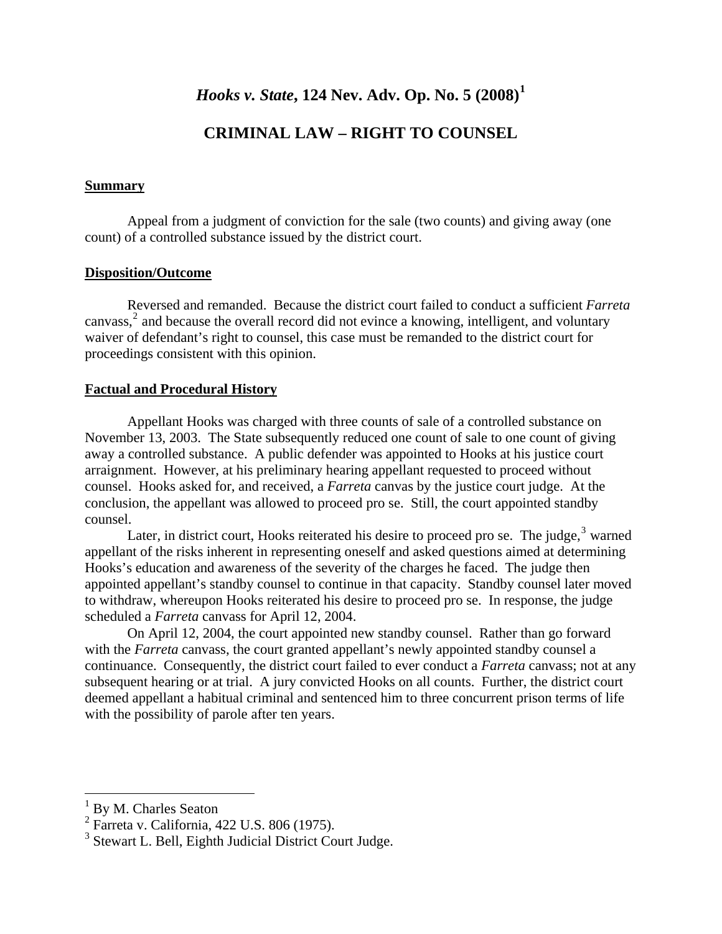## *Hooks v. State***, 124 Nev. Adv. Op. No. 5 (2008)[1](#page-1-0)**

## **CRIMINAL LAW – RIGHT TO COUNSEL**

#### **Summary**

Appeal from a judgment of conviction for the sale (two counts) and giving away (one count) of a controlled substance issued by the district court.

#### **Disposition/Outcome**

Reversed and remanded. Because the district court failed to conduct a sufficient *Farreta* canvass, $<sup>2</sup>$  $<sup>2</sup>$  $<sup>2</sup>$  and because the overall record did not evince a knowing, intelligent, and voluntary</sup> waiver of defendant's right to counsel, this case must be remanded to the district court for proceedings consistent with this opinion.

#### **Factual and Procedural History**

Appellant Hooks was charged with three counts of sale of a controlled substance on November 13, 2003. The State subsequently reduced one count of sale to one count of giving away a controlled substance. A public defender was appointed to Hooks at his justice court arraignment. However, at his preliminary hearing appellant requested to proceed without counsel. Hooks asked for, and received, a *Farreta* canvas by the justice court judge. At the conclusion, the appellant was allowed to proceed pro se. Still, the court appointed standby counsel.

Later, in district court, Hooks reiterated his desire to proceed pro se. The judge, $3$  warned appellant of the risks inherent in representing oneself and asked questions aimed at determining Hooks's education and awareness of the severity of the charges he faced. The judge then appointed appellant's standby counsel to continue in that capacity. Standby counsel later moved to withdraw, whereupon Hooks reiterated his desire to proceed pro se. In response, the judge scheduled a *Farreta* canvass for April 12, 2004.

 On April 12, 2004, the court appointed new standby counsel. Rather than go forward with the *Farreta* canvass, the court granted appellant's newly appointed standby counsel a continuance. Consequently, the district court failed to ever conduct a *Farreta* canvass; not at any subsequent hearing or at trial. A jury convicted Hooks on all counts. Further, the district court deemed appellant a habitual criminal and sentenced him to three concurrent prison terms of life with the possibility of parole after ten years.

 $\overline{a}$ 

<span id="page-1-0"></span><sup>&</sup>lt;sup>1</sup> By M. Charles Seaton

<span id="page-1-1"></span><sup>2</sup> Farreta v. California, 422 U.S. 806 (1975).

<span id="page-1-2"></span><sup>&</sup>lt;sup>3</sup> Stewart L. Bell, Eighth Judicial District Court Judge.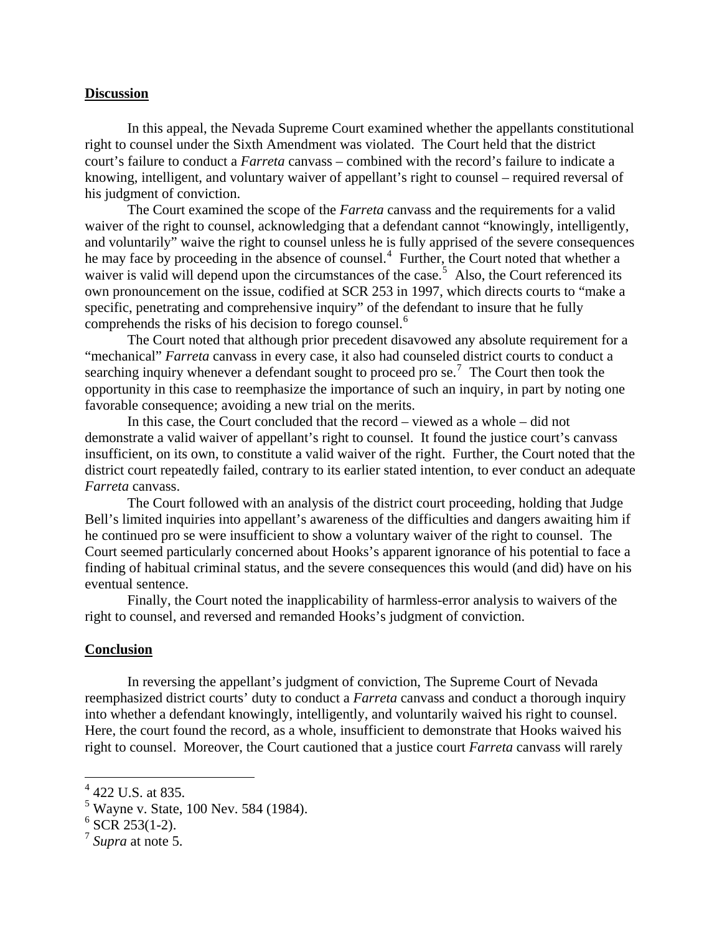#### **Discussion**

In this appeal, the Nevada Supreme Court examined whether the appellants constitutional right to counsel under the Sixth Amendment was violated. The Court held that the district court's failure to conduct a *Farreta* canvass – combined with the record's failure to indicate a knowing, intelligent, and voluntary waiver of appellant's right to counsel – required reversal of his judgment of conviction.

 The Court examined the scope of the *Farreta* canvass and the requirements for a valid waiver of the right to counsel, acknowledging that a defendant cannot "knowingly, intelligently, and voluntarily" waive the right to counsel unless he is fully apprised of the severe consequences he may face by proceeding in the absence of counsel.<sup>[4](#page-2-0)</sup> Further, the Court noted that whether a waiver is valid will depend upon the circumstances of the case.<sup>[5](#page-2-1)</sup> Also, the Court referenced its own pronouncement on the issue, codified at SCR 253 in 1997, which directs courts to "make a specific, penetrating and comprehensive inquiry" of the defendant to insure that he fully comprehends the risks of his decision to forego counsel.<sup>[6](#page-2-2)</sup>

 The Court noted that although prior precedent disavowed any absolute requirement for a "mechanical" *Farreta* canvass in every case, it also had counseled district courts to conduct a searching inquiry whenever a defendant sought to proceed pro se.<sup>[7](#page-2-3)</sup> The Court then took the opportunity in this case to reemphasize the importance of such an inquiry, in part by noting one favorable consequence; avoiding a new trial on the merits.

 In this case, the Court concluded that the record – viewed as a whole – did not demonstrate a valid waiver of appellant's right to counsel. It found the justice court's canvass insufficient, on its own, to constitute a valid waiver of the right. Further, the Court noted that the district court repeatedly failed, contrary to its earlier stated intention, to ever conduct an adequate *Farreta* canvass.

 The Court followed with an analysis of the district court proceeding, holding that Judge Bell's limited inquiries into appellant's awareness of the difficulties and dangers awaiting him if he continued pro se were insufficient to show a voluntary waiver of the right to counsel. The Court seemed particularly concerned about Hooks's apparent ignorance of his potential to face a finding of habitual criminal status, and the severe consequences this would (and did) have on his eventual sentence.

 Finally, the Court noted the inapplicability of harmless-error analysis to waivers of the right to counsel, and reversed and remanded Hooks's judgment of conviction.

#### **Conclusion**

In reversing the appellant's judgment of conviction, The Supreme Court of Nevada reemphasized district courts' duty to conduct a *Farreta* canvass and conduct a thorough inquiry into whether a defendant knowingly, intelligently, and voluntarily waived his right to counsel. Here, the court found the record, as a whole, insufficient to demonstrate that Hooks waived his right to counsel. Moreover, the Court cautioned that a justice court *Farreta* canvass will rarely

 $\overline{a}$ 

<span id="page-2-0"></span> $4$  422 U.S. at 835.

<span id="page-2-1"></span><sup>&</sup>lt;sup>5</sup> Wayne v. State, 100 Nev. 584 (1984).

<span id="page-2-2"></span> $6$  SCR 253(1-2).

<span id="page-2-3"></span><sup>7</sup> *Supra* at note 5.